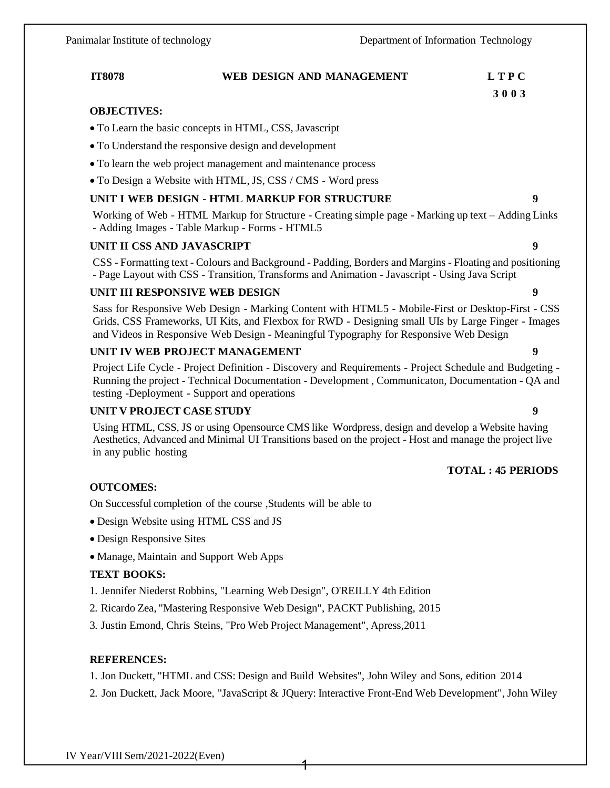| <b>IT8078</b> | WEB DESIGN AND MANAGEMENT | L T P C |
|---------------|---------------------------|---------|
|               |                           |         |

#### **3 0 0 3**

#### **OBJECTIVES:**

- To Learn the basic concepts in HTML, CSS, Javascript
- To Understand the responsive design and development
- To learn the web project management and maintenance process
- To Design a Website with HTML, JS, CSS / CMS Word press

#### **UNIT I WEB DESIGN - HTML MARKUP FOR [STRUCTURE](#page-2-0) 9**

Working of Web - HTML Markup for Structure - Creating simple page - Marking up text – Adding Links - Adding Images - Table Markup - Forms - HTML5

#### **UNIT II CSS AND JAVASCRIPT 9**

CSS - Formatting text - Colours and Background - Padding, Borders and Margins - Floating and positioning - Page Layout with CSS - Transition, Transforms and Animation - Javascript - Using Java Script

#### **UNIT III [RESPONSIVE](#page-11-0) WEB DESIGN 9**

Sass for Responsive Web Design - Marking Content with HTML5 - Mobile-First or Desktop-First - CSS Grids, CSS Frameworks, UI Kits, and Flexbox for RWD - Designing small UIs by Large Finger - Images and Videos in Responsive Web Design - Meaningful Typography for Responsive Web Design

#### **UNIT IV WEB PROJECT [MANAGEMENT](#page-17-0) 9**

Project Life Cycle - Project Definition - Discovery and Requirements - Project Schedule and Budgeting - Running the project - Technical Documentation - Development , Communicaton, Documentation - QA and testing -Deployment - Support and operations

#### **UNIT V [PROJECT](#page-21-0) CASE STUDY 9**

Using HTML, CSS, JS or using Opensource CMS like Wordpress, design and develop a Website having Aesthetics, Advanced and Minimal UI Transitions based on the project - Host and manage the project live in any public hosting

#### **TOTAL : 45 PERIODS**

#### **OUTCOMES:**

On Successful completion of the course ,Students will be able to

- Design Website using HTML CSS and JS
- Design Responsive Sites
- Manage, Maintain and Support Web Apps

#### **TEXT BOOKS:**

- 1. Jennifer Niederst Robbins, "Learning Web Design", O'REILLY 4th Edition
- 2. Ricardo Zea, "Mastering Responsive Web Design", PACKT Publishing, 2015
- 3. Justin Emond, Chris Steins, "Pro Web Project Management", Apress,2011

#### **REFERENCES:**

1. Jon Duckett, "HTML and CSS: Design and Build Websites", John Wiley and Sons, edition 2014

1

2. Jon Duckett, Jack Moore, "JavaScript & JQuery: Interactive Front-End Web Development", John Wiley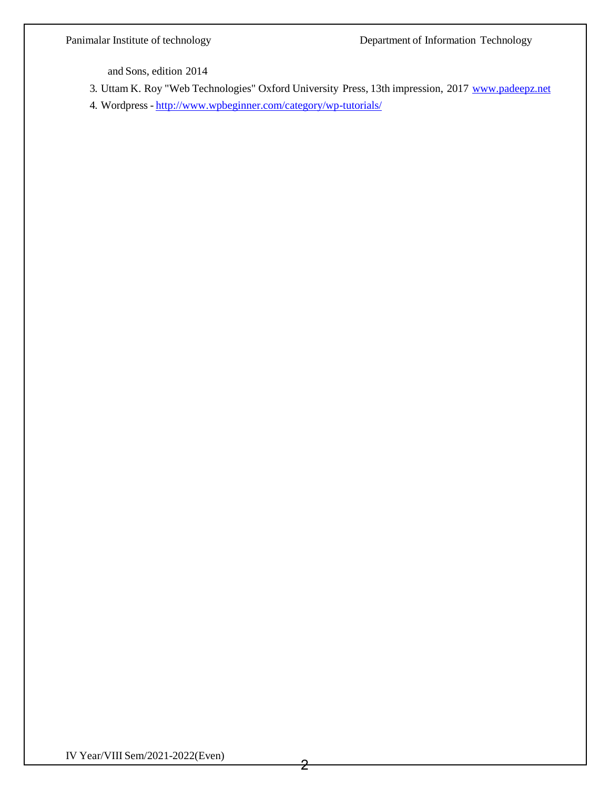and Sons, edition 2014

- 3. Uttam K. Roy "Web Technologies" Oxford University Press, 13th impression, 2017 [www.padeepz.net](http://www.padeepz.net/)
- 4. Wordpress <http://www.wpbeginner.com/category/wp-tutorials/>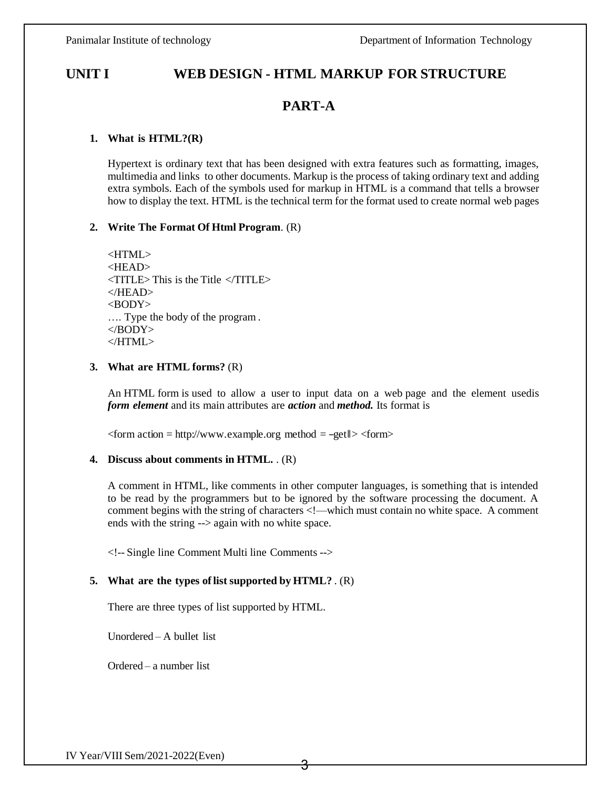# <span id="page-2-0"></span>**UNIT I WEB DESIGN - HTML MARKUP FOR STRUCTURE**

### **PART-A**

#### **1. What is HTML?(R)**

Hypertext is ordinary text that has been designed with extra features such as formatting, images, multimedia and links to other documents. Markup is the process of taking ordinary text and adding extra symbols. Each of the symbols used for markup in HTML is a command that tells a browser how to display the text. HTML is the technical term for the format used to create normal web pages

#### **2. Write The Format Of Html Program**. (R)

| <html></html>                                      |
|----------------------------------------------------|
| <head></head>                                      |
| $\langle$ TITLE>This is the Title $\langle$ TITLE> |
| $\langle$ /HEAD>                                   |
| <body></body>                                      |
| Type the body of the program.                      |
| $<$ /BODY>                                         |
|                                                    |

#### **3. What are HTML forms?** (R)

An HTML form is used to allow a user to input data on a web page and the element usedis *form element* and its main attributes are *action* and *method.* Its format is

 $\epsilon$  -form action = [http://www.example.org](http://www.example.org/) method = -get  $\epsilon$  -get  $\epsilon$  -storm

#### **4. Discuss about comments in HTML.** . (R)

A comment in HTML, like comments in other computer languages, is something that is intended to be read by the programmers but to be ignored by the software processing the document. A comment begins with the string of characters <!—which must contain no white space. A comment ends with the string --> again with no white space.

<!-- Single line Comment Multi line Comments -->

#### **5. What are the types oflist supported by HTML?** . (R)

There are three types of list supported by HTML.

Unordered – A bullet list

Ordered – a number list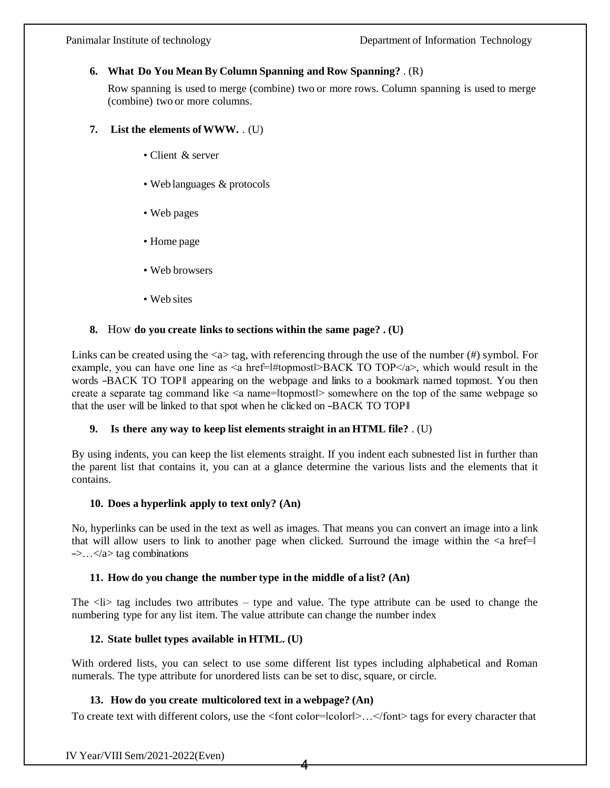### **6. What Do You Mean By Column Spanning and Row Spanning?** . (R)

Row spanning is used to merge (combine) two or more rows. Column spanning is used to merge (combine) two or more columns.

- **7. List the elements o[fWWW.](http://www/)** . (U)
	- Client & server
	- Web languages & protocols
	- Web pages
	- Home page
	- Web browsers
	- Web sites

#### **8.** How **do you create links to sections within the same page? . (U)**

Links can be created using the <a> tag, with referencing through the use of the number (#) symbol. For example, you can have one line as  $\leq a$  href=#topmost > BACK TO TOP $\leq/a$ >, which would result in the words ―BACK TO TOP‖ appearing on the webpage and links to <sup>a</sup> bookmark named topmost. You then create a separate tag command like <a name=‖topmost‖> somewhere on the top of the same webpage so that the user will be linked to that spot when he clicked on ―BACK TO TOP‖

#### **9. Is there any way to keep list elements straight in an HTML file?** . (U)

By using indents, you can keep the list elements straight. If you indent each subnested list in further than the parent list that contains it, you can at a glance determine the various lists and the elements that it contains.

#### **10. Does a hyperlink apply to text only? (An)**

No, hyperlinks can be used in the text as well as images. That means you can convert an image into a link that will allow users to link to another page when clicked. Surround the image within the <a href=‖  $\rightarrow$ … $\lt/$ a $>$  tag combinations

#### **11. How do you change the number type in the middle of a list? (An)**

The  $\langle$ li $>$  tag includes two attributes – type and value. The type attribute can be used to change the numbering type for any list item. The value attribute can change the number index

#### **12. State bullet types available in HTML. (U)**

With ordered lists, you can select to use some different list types including alphabetical and Roman numerals. The type attribute for unordered lists can be set to disc, square, or circle.

#### **13. How do you create multicolored text in a webpage? (An)**

To create text with different colors, use the <font color=‖color‖>…</font> tags for every character that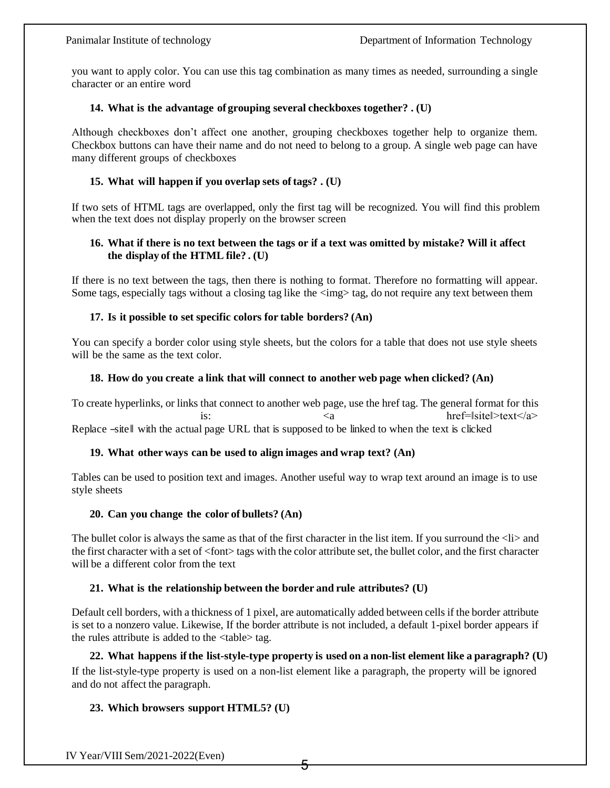you want to apply color. You can use this tag combination as many times as needed, surrounding a single character or an entire word

#### **14. What is the advantage of grouping several checkboxes together? . (U)**

Although checkboxes don't affect one another, grouping checkboxes together help to organize them. Checkbox buttons can have their name and do not need to belong to a group. A single web page can have many different groups of checkboxes

#### **15. What will happen if you overlap sets oftags? . (U)**

If two sets of HTML tags are overlapped, only the first tag will be recognized. You will find this problem when the text does not display properly on the browser screen

#### **16. What if there is no text between the tags or if a text was omitted by mistake? Will it affect the display of the HTML file? . (U)**

If there is no text between the tags, then there is nothing to format. Therefore no formatting will appear. Some tags, especially tags without a closing tag like the  $\langle \text{img} \rangle$  tag, do not require any text between them

#### **17. Is it possible to set specific colors for table borders? (An)**

You can specify a border color using style sheets, but the colors for a table that does not use style sheets will be the same as the text color.

#### **18. How do you create a link that will connect to another web page when clicked? (An)**

To create hyperlinks, or links that connect to another web page, use the href tag. The general format for this is:  $\langle a \rangle$   $\langle a \rangle$ Replace ―site‖ with the actual page URL that is supposed to be linked to when the text is clicked

#### **19. What other ways can be used to align images and wrap text? (An)**

Tables can be used to position text and images. Another useful way to wrap text around an image is to use style sheets

#### **20. Can you change the color of bullets? (An)**

The bullet color is always the same as that of the first character in the list item. If you surround the  $\langle i \rangle$  and the first character with a set of <font> tags with the color attribute set, the bullet color, and the first character will be a different color from the text

#### **21. What is the relationship between the border and rule attributes? (U)**

Default cell borders, with a thickness of 1 pixel, are automatically added between cells if the border attribute is set to a nonzero value. Likewise, If the border attribute is not included, a default 1-pixel border appears if the rules attribute is added to the <table> tag.

**22. What happens ifthe list-style-type property is used on a non-list element like a paragraph? (U)** If the list-style-type property is used on a non-list element like a paragraph, the property will be ignored and do not affect the paragraph.

#### **23. Which browsers support HTML5? (U)**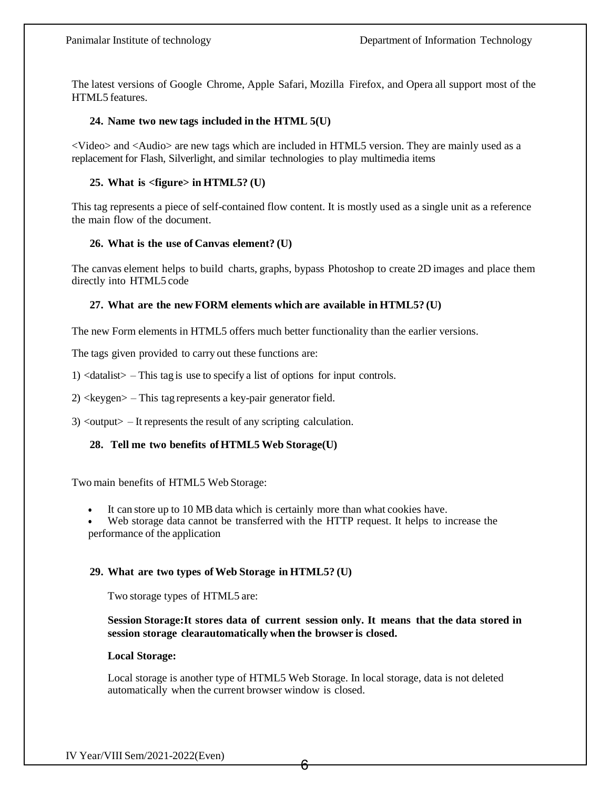The latest versions of Google Chrome, Apple Safari, Mozilla Firefox, and Opera all support most of the HTML5 features.

#### **24. Name two new tags included in the HTML 5(U)**

<Video> and <Audio> are new tags which are included in HTML5 version. They are mainly used as a replacement for Flash, Silverlight, and similar technologies to play multimedia items

#### **25. What is <figure> in HTML5? (U)**

This tag represents a piece of self-contained flow content. It is mostly used as a single unit as a reference the main flow of the document.

#### **26. What is the use of Canvas element? (U)**

The canvas element helps to build charts, graphs, bypass Photoshop to create 2D images and place them directly into HTML5 code

#### **27. What are the new FORM elements which are available in HTML5? (U)**

The new Form elements in HTML5 offers much better functionality than the earlier versions.

The tags given provided to carry out these functions are:

1) <datalist> – This tag is use to specify a list of options for input controls.

 $2)$  <keygen $>$  – This tag represents a key-pair generator field.

3) <output> – It represents the result of any scripting calculation.

#### **28. Tell me two benefits of HTML5 Web Storage(U)**

Two main benefits of HTML5 Web Storage:

It can store up to 10 MB data which is certainly more than what cookies have.

 Web storage data cannot be transferred with the HTTP request. It helps to increase the performance of the application

#### **29. What are two types ofWeb Storage in HTML5? (U)**

Two storage types of HTML5 are:

#### **Session Storage:It stores data of current session only. It means that the data stored in session storage clearautomatically when the browser is closed.**

#### **Local Storage:**

Local storage is another type of HTML5 Web Storage. In local storage, data is not deleted automatically when the current browser window is closed.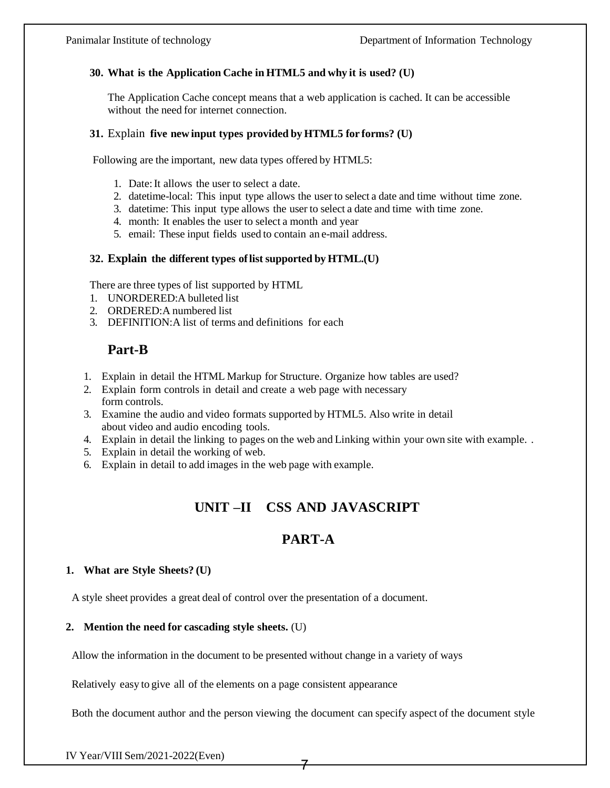#### **30. What is the Application Cache in HTML5 and why it is used? (U)**

The Application Cache concept means that a web application is cached. It can be accessible without the need for internet connection.

#### **31.** Explain **five new input types provided by HTML5 for forms? (U)**

Following are the important, new data types offered by HTML5:

- 1. Date:It allows the user to select a date.
- 2. datetime-local: This input type allows the user to select a date and time without time zone.
- 3. datetime: This input type allows the user to select a date and time with time zone.
- 4. month: It enables the user to select a month and year
- 5. email: These input fields used to contain an e-mail address.

#### **32. Explain the different types oflist supported by HTML.(U)**

There are three types of list supported by HTML

- 1. UNORDERED:A bulleted list
- 2. ORDERED:A numbered list
- 3. DEFINITION:A list of terms and definitions for each

# **Part-B**

- 1. Explain in detail the HTML Markup for Structure. Organize how tables are used?
- 2. Explain form controls in detail and create a web page with necessary form controls.
- 3. Examine the audio and video formats supported by HTML5. Also write in detail about video and audio encoding tools.
- 4. Explain in detail the linking to pages on the web and Linking within your own site with example. .
- 5. Explain in detail the working of web.
- 6. Explain in detail to add images in the web page with example.

# **UNIT –II CSS AND JAVASCRIPT**

# **PART-A**

#### **1. What are Style Sheets? (U)**

A style sheet provides a great deal of control over the presentation of a document.

#### **2. Mention the need for cascading style sheets.** (U)

Allow the information in the document to be presented without change in a variety of ways

Relatively easy to give all of the elements on a page consistent appearance

Both the document author and the person viewing the document can specify aspect of the document style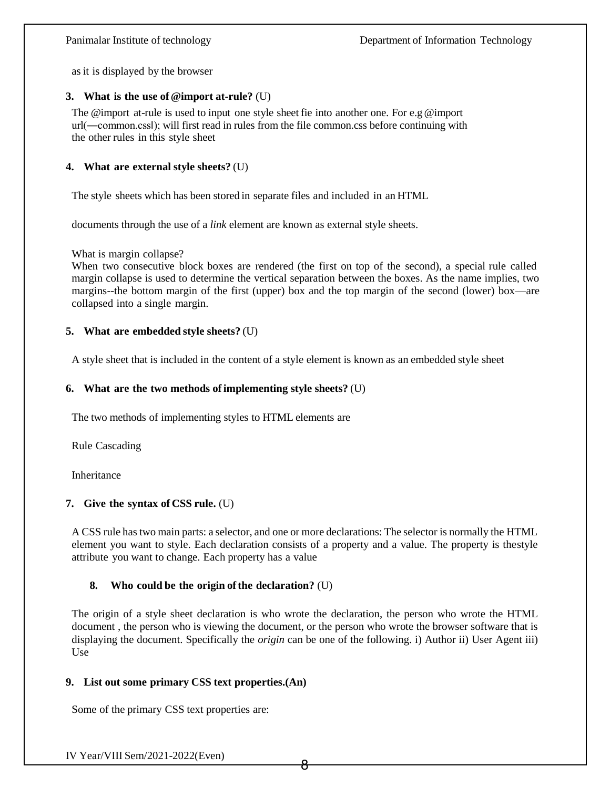as it is displayed by the browser

#### **3. What is the use of@import at-rule?** (U)

The @import at-rule is used to input one style sheet fie into another one. For e.g @import url(―common.css‖); will first read in rules from the file common.css before continuing with the other rules in this style sheet

#### **4. What are external style sheets?** (U)

The style sheets which has been stored in separate files and included in an HTML

documents through the use of a *link* element are known as external style sheets.

What is margin collapse?

When two consecutive block boxes are rendered (the first on top of the second), a special rule called margin collapse is used to determine the vertical separation between the boxes. As the name implies, two margins--the bottom margin of the first (upper) box and the top margin of the second (lower) box—are collapsed into a single margin.

#### **5. What are embedded style sheets?** (U)

A style sheet that is included in the content of a style element is known as an embedded style sheet

#### **6. What are the two methods ofimplementing style sheets?** (U)

The two methods of implementing styles to HTML elements are

Rule Cascading

Inheritance

#### **7. Give the syntax of CSS rule.** (U)

A CSS rule has two main parts: a selector, and one or more declarations: The selector is normally the HTML element you want to style. Each declaration consists of a property and a value. The property is thestyle attribute you want to change. Each property has a value

#### **8. Who could be the origin ofthe declaration?** (U)

The origin of a style sheet declaration is who wrote the declaration, the person who wrote the HTML document , the person who is viewing the document, or the person who wrote the browser software that is displaying the document. Specifically the *origin* can be one of the following. i) Author ii) User Agent iii) Use

#### **9. List out some primary CSS text properties.(An)**

Some of the primary CSS text properties are: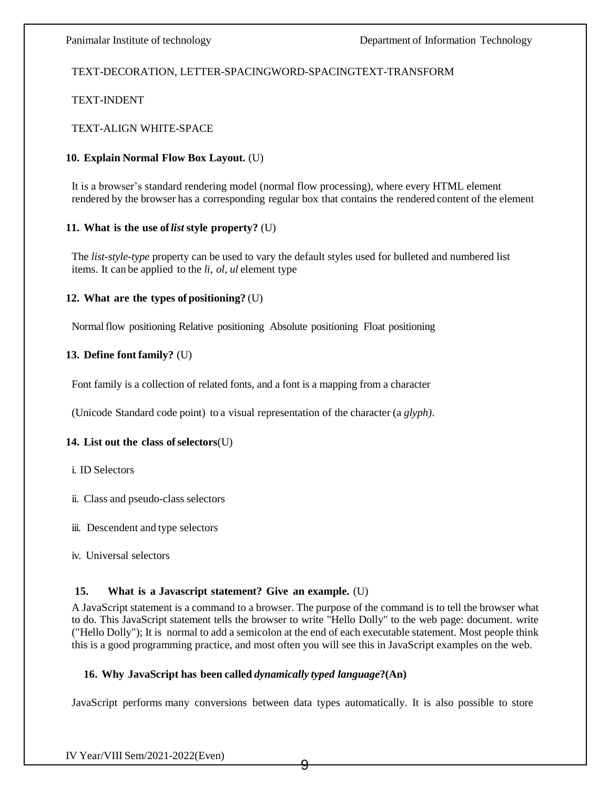#### TEXT-DECORATION, LETTER-SPACINGWORD-SPACINGTEXT-TRANSFORM

TEXT-INDENT

TEXT-ALIGN WHITE-SPACE

#### **10. Explain Normal Flow Box Layout.** (U)

It is a browser's standard rendering model (normal flow processing), where every HTML element rendered by the browser has a corresponding regular box that contains the rendered content of the element

#### **11. What is the use of***list* **style property?** (U)

The *list-style-type* property can be used to vary the default styles used for bulleted and numbered list items. It can be applied to the *li*, *ol, ul* element type

#### **12. What are the types of positioning?** (U)

Normal flow positioning Relative positioning Absolute positioning Float positioning

#### **13. Define font family?** (U)

Font family is a collection of related fonts, and a font is a mapping from a character

(Unicode Standard code point) to a visual representation of the character (a *glyph)*.

#### **14. List out the class ofselectors**(U)

i. ID Selectors

- ii. Class and pseudo-class selectors
- iii. Descendent and type selectors
- iv. Universal selectors

#### **15. What is a Javascript statement? Give an example.** (U)

A JavaScript statement is a command to a browser. The purpose of the command is to tell the browser what to do. This JavaScript statement tells the browser to write "Hello Dolly" to the web page: document. write ("Hello Dolly"); It is normal to add a semicolon at the end of each executable statement. Most people think this is a good programming practice, and most often you will see this in JavaScript examples on the web.

#### **16. Why JavaScript has been called** *dynamically typed language***?(An)**

JavaScript performs many conversions between data types automatically. It is also possible to store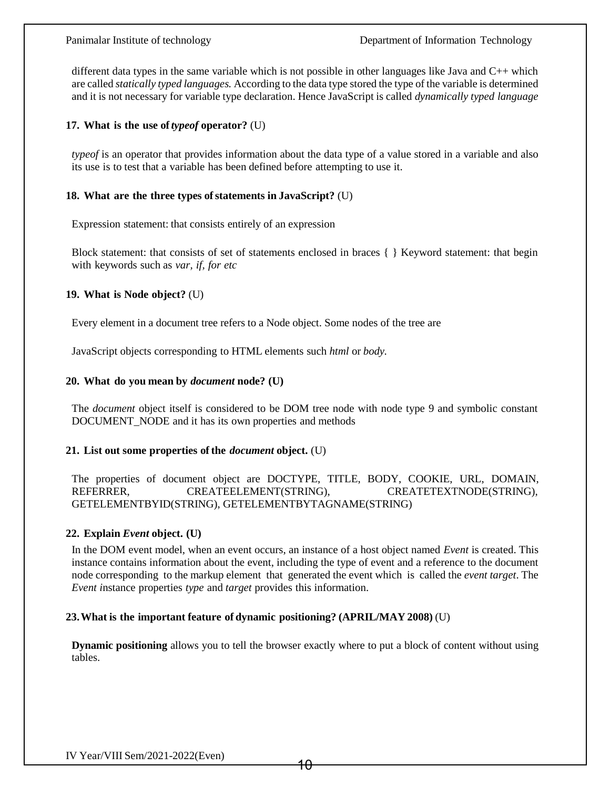different data types in the same variable which is not possible in other languages like Java and  $C_{++}$  which are called *statically typed languages.* According to the data type stored the type of the variable is determined and it is not necessary for variable type declaration. Hence JavaScript is called *dynamically typed language*

#### **17. What is the use of***typeof* **operator?** (U)

*typeof* is an operator that provides information about the data type of a value stored in a variable and also its use is to test that a variable has been defined before attempting to use it.

#### **18. What are the three types ofstatements in JavaScript?** (U)

Expression statement: that consists entirely of an expression

Block statement: that consists of set of statements enclosed in braces { } Keyword statement: that begin with keywords such as *var, if, for etc*

#### **19. What is Node object?** (U)

Every element in a document tree refers to a Node object. Some nodes of the tree are

JavaScript objects corresponding to HTML elements such *html* or *body.*

#### **20. What do you mean by** *document* **node? (U)**

The *document* object itself is considered to be DOM tree node with node type 9 and symbolic constant DOCUMENT\_NODE and it has its own properties and methods

#### **21. List out some properties of the** *document* **object.** (U)

The properties of document object are DOCTYPE, TITLE, BODY, COOKIE, URL, DOMAIN, REFERRER, CREATEELEMENT(STRING), CREATETEXTNODE(STRING), GETELEMENTBYID(STRING), GETELEMENTBYTAGNAME(STRING)

#### **22. Explain** *Event* **object. (U)**

In the DOM event model, when an event occurs, an instance of a host object named *Event* is created. This instance contains information about the event, including the type of event and a reference to the document node corresponding to the markup element that generated the event which is called the *event target*. The *Event i*nstance properties *type* and *target* provides this information.

#### **23.What is the important feature of dynamic positioning? (APRIL/MAY 2008)** (U)

**Dynamic positioning** allows you to tell the browser exactly where to put a block of content without using tables.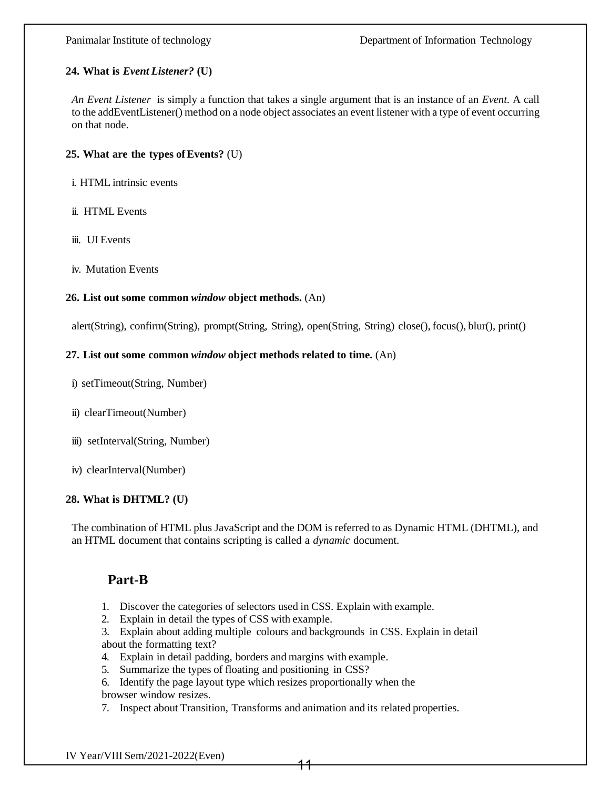#### **24. What is** *Event Listener?* **(U)**

*An Event Listener* is simply a function that takes a single argument that is an instance of an *Event.* A call to the addEventListener() method on a node object associates an event listener with a type of event occurring on that node.

#### **25. What are the types ofEvents?** (U)

- i. HTML intrinsic events
- ii. HTML Events
- iii. UI Events
- iv. Mutation Events

#### **26. List out some common** *window* **object methods.** (An)

alert(String), confirm(String), prompt(String, String), open(String, String) close(), focus(), blur(), print()

#### **27. List out some common** *window* **object methods related to time.** (An)

- i) setTimeout(String, Number)
- ii) clearTimeout(Number)
- iii) setInterval(String, Number)
- iv) clearInterval(Number)

#### **28. What is DHTML? (U)**

The combination of HTML plus JavaScript and the DOM is referred to as Dynamic HTML (DHTML), and an HTML document that contains scripting is called a *dynamic* document.

### **Part-B**

- 1. Discover the categories of selectors used in CSS. Explain with example.
- 2. Explain in detail the types of CSS with example.
- 3. Explain about adding multiple colours and backgrounds in CSS. Explain in detail about the formatting text?
- 4. Explain in detail padding, borders and margins with example.
- 5. Summarize the types of floating and positioning in CSS?
- 6. Identify the page layout type which resizes proportionally when the browser window resizes.
- 7. Inspect about Transition, Transforms and animation and its related properties.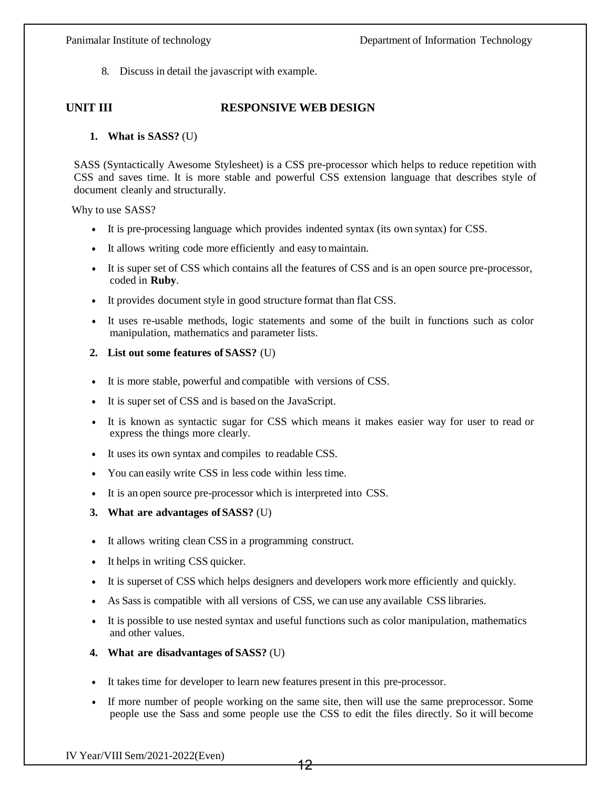8. Discuss in detail the javascript with example.

### <span id="page-11-0"></span>**UNIT III RESPONSIVE WEB DESIGN**

#### **1. What is SASS?** (U)

SASS (Syntactically Awesome Stylesheet) is a CSS pre-processor which helps to reduce repetition with CSS and saves time. It is more stable and powerful CSS extension language that describes style of document cleanly and structurally.

Why to use SASS?

- It is pre-processing language which provides indented syntax (its own syntax) for CSS.
- It allows writing code more efficiently and easy tomaintain.
- It is super set of CSS which contains all the features of CSS and is an open source pre-processor, coded in **Ruby**.
- It provides document style in good structure format than flat CSS.
- It uses re-usable methods, logic statements and some of the built in functions such as color manipulation, mathematics and parameter lists.
- **2. List out some features of SASS?** (U)
- It is more stable, powerful and compatible with versions of CSS.
- It is super set of CSS and is based on the JavaScript.
- It is known as syntactic sugar for CSS which means it makes easier way for user to read or express the things more clearly.
- It uses its own syntax and compiles to readable CSS.
- You can easily write CSS in less code within less time.
- It is an open source pre-processor which is interpreted into CSS.
- **3. What are advantages of SASS?** (U)
- It allows writing clean CSS in a programming construct.
- It helps in writing CSS quicker.
- It is superset of CSS which helps designers and developers work more efficiently and quickly.
- As Sass is compatible with all versions of CSS, we can use any available CSS libraries.
- It is possible to use nested syntax and useful functions such as color manipulation, mathematics and other values.
- **4. What are disadvantages of SASS?** (U)
- It takes time for developer to learn new features present in this pre-processor.
- If more number of people working on the same site, then will use the same preprocessor. Some people use the Sass and some people use the CSS to edit the files directly. So it will become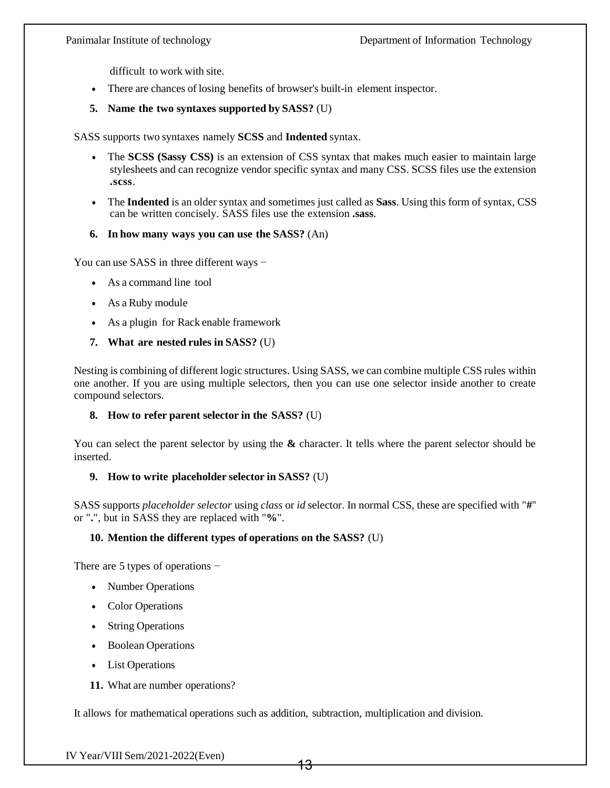difficult to work with site.

- There are chances of losing benefits of browser's built-in element inspector.
- **5. Name the two syntaxes supported by SASS?** (U)

SASS supports two syntaxes namely **SCSS** and **Indented** syntax.

- The **SCSS (Sassy CSS)** is an extension of CSS syntax that makes much easier to maintain large stylesheets and can recognize vendor specific syntax and many CSS. SCSS files use the extension **.scss**.
- The **Indented** is an older syntax and sometimes just called as **Sass**. Using this form of syntax, CSS can be written concisely. SASS files use the extension **.sass**.
- **6. In how many ways you can use the SASS?** (An)

You can use SASS in three different ways −

- As a command line tool
- As a Ruby module
- As a plugin for Rack enable framework
- **7. What are nested rules in SASS?** (U)

Nesting is combining of different logic structures. Using SASS, we can combine multiple CSS rules within one another. If you are using multiple selectors, then you can use one selector inside another to create compound selectors.

#### **8. How to refer parent selector in the SASS?** (U)

You can select the parent selector by using the **&** character. It tells where the parent selector should be inserted.

#### **9. How to write placeholder selector in SASS?** (U)

SASS supports *placeholder selector* using *class* or *id* selector. In normal CSS, these are specified with "**#**" or "**.**", but in SASS they are replaced with "**%**".

#### **10. Mention the different types of operations on the SASS?** (U)

There are 5 types of operations −

- Number Operations
- Color Operations
- String Operations
- Boolean Operations
- List Operations
- **11.** What are number operations?

It allows for mathematical operations such as addition, subtraction, multiplication and division.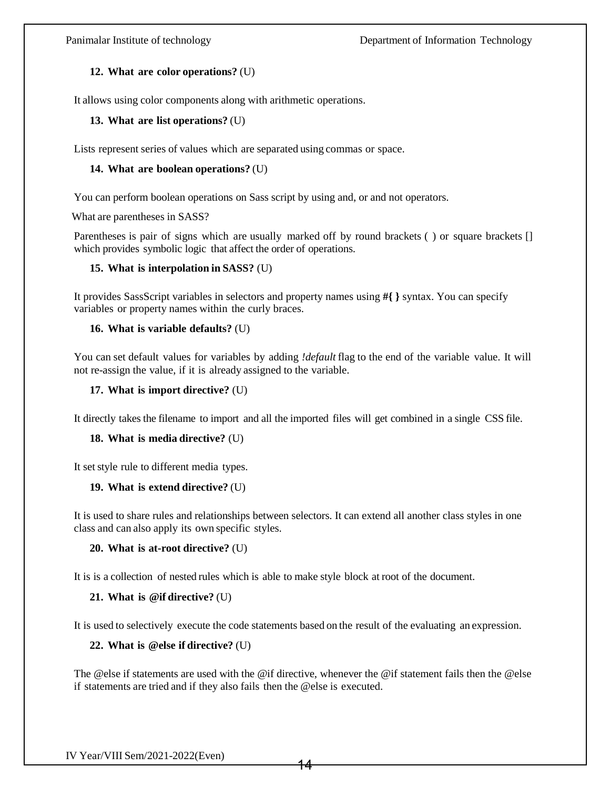#### **12. What are color operations?** (U)

It allows using color components along with arithmetic operations.

#### **13. What are list operations?** (U)

Lists represent series of values which are separated using commas or space.

#### **14. What are boolean operations?** (U)

You can perform boolean operations on Sass script by using and, or and not operators.

What are parentheses in SASS?

Parentheses is pair of signs which are usually marked off by round brackets () or square brackets [] which provides symbolic logic that affect the order of operations.

#### **15. What is interpolation in SASS?** (U)

It provides SassScript variables in selectors and property names using **#{ }** syntax. You can specify variables or property names within the curly braces.

#### **16. What is variable defaults?** (U)

You can set default values for variables by adding *!default* flag to the end of the variable value. It will not re-assign the value, if it is already assigned to the variable.

#### **17. What is import directive?** (U)

It directly takes the filename to import and all the imported files will get combined in a single CSS file.

#### **18. What is media directive?** (U)

It set style rule to different media types.

#### **19. What is extend directive?** (U)

It is used to share rules and relationships between selectors. It can extend all another class styles in one class and can also apply its own specific styles.

#### **20. What is at-root directive?** (U)

It is is a collection of nested rules which is able to make style block at root of the document.

#### **21. What is @if directive?** (U)

It is used to selectively execute the code statements based on the result of the evaluating an expression.

#### **22. What is @else if directive?** (U)

The @else if statements are used with the @if directive, whenever the @if statement fails then the @else if statements are tried and if they also fails then the @else is executed.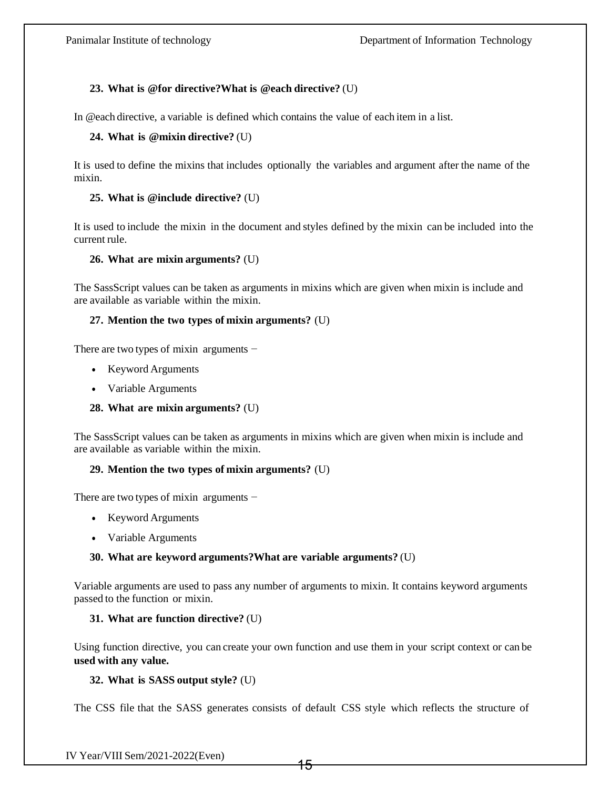#### **23. What is @for directive?What is @each directive?** (U)

In @each directive, a variable is defined which contains the value of each item in a list.

#### **24. What is @mixin directive?** (U)

It is used to define the mixins that includes optionally the variables and argument after the name of the mixin.

#### **25. What is @include directive?** (U)

It is used to include the mixin in the document and styles defined by the mixin can be included into the current rule.

#### **26. What are mixin arguments?** (U)

The SassScript values can be taken as arguments in mixins which are given when mixin is include and are available as variable within the mixin.

#### **27. Mention the two types of mixin arguments?** (U)

There are two types of mixin arguments –

- Keyword Arguments
- Variable Arguments
- **28. What are mixin arguments?** (U)

The SassScript values can be taken as arguments in mixins which are given when mixin is include and are available as variable within the mixin.

#### **29. Mention the two types of mixin arguments?** (U)

There are two types of mixin arguments –

- Keyword Arguments
- Variable Arguments

#### **30. What are keyword arguments?What are variable arguments?** (U)

Variable arguments are used to pass any number of arguments to mixin. It contains keyword arguments passed to the function or mixin.

#### **31. What are function directive?** (U)

Using function directive, you can create your own function and use them in your script context or can be **used with any value.**

#### **32. What is SASS output style?** (U)

The CSS file that the SASS generates consists of default CSS style which reflects the structure of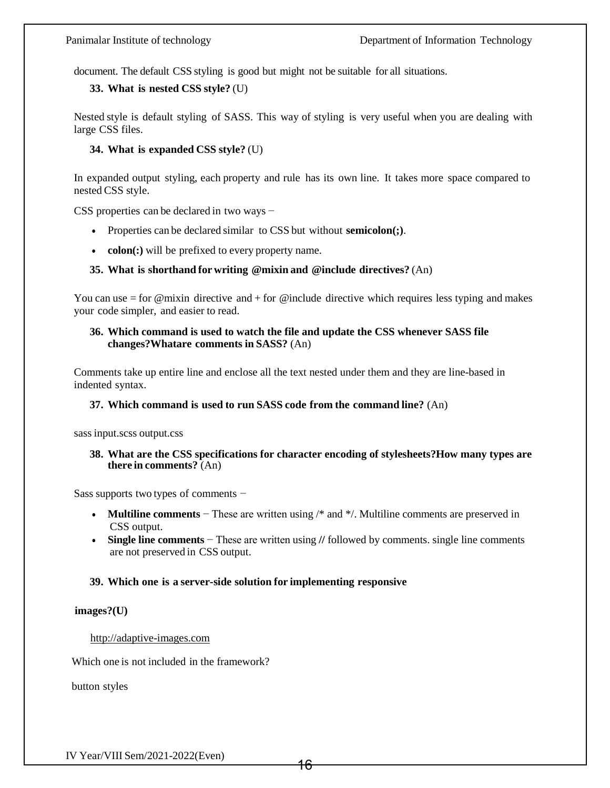document. The default CSS styling is good but might not be suitable for all situations.

#### **33. What is nested CSS style?** (U)

Nested style is default styling of SASS. This way of styling is very useful when you are dealing with large CSS files.

#### **34. What is expanded CSS style?** (U)

In expanded output styling, each property and rule has its own line. It takes more space compared to nested CSS style.

CSS properties can be declared in two ways −

- Properties can be declared similar to CSS but without **semicolon(;)**.
- **colon(:)** will be prefixed to every property name.

#### **35. What is shorthand for writing @mixin and @include directives?** (An)

You can use = for @mixin directive and + for @include directive which requires less typing and makes your code simpler, and easier to read.

#### **36. Which command is used to watch the file and update the CSS whenever SASS file changes?Whatare comments in SASS?** (An)

Comments take up entire line and enclose all the text nested under them and they are line-based in indented syntax.

#### **37. Which command is used to run SASS code from the command line?** (An)

sass input.scss output.css

#### **38. What are the CSS specifications for character encoding of stylesheets?How many types are there in comments?** (An)

Sass supports two types of comments −

- **Multiline comments** − These are written using /\* and \*/. Multiline comments are preserved in CSS output.
- **Single line comments** − These are written using **//** followed by comments. single line comments are not preserved in CSS output.

#### **39. Which one is a server-side solution for implementing responsive**

#### **images?(U)**

[http://adaptive-images.com](http://adaptive-images.com/)

Which one is not included in the framework?

button styles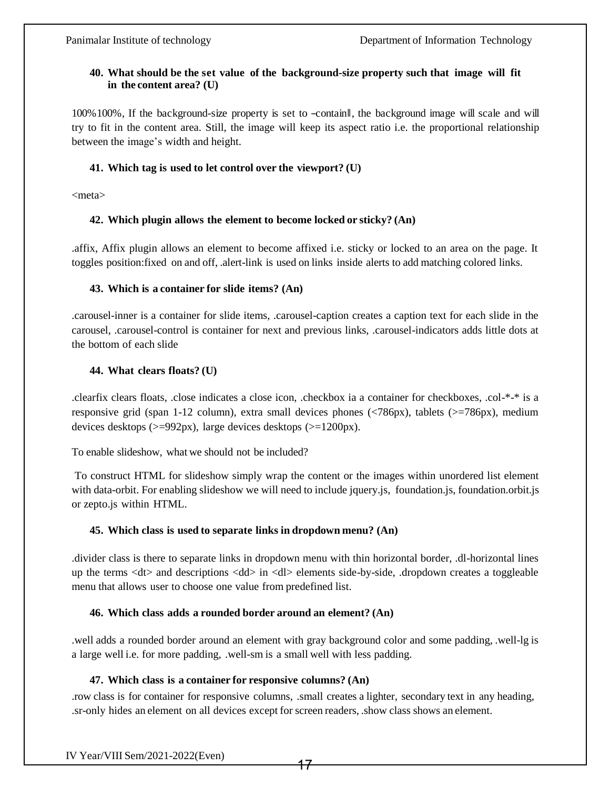#### **40. What should be the set value of the background-size property such that image will fit in the content area? (U)**

100%100%, If the background-size property is set to ―contain‖, the background image will scale and will try to fit in the content area. Still, the image will keep its aspect ratio i.e. the proportional relationship between the image's width and height.

#### **41. Which tag is used to let control over the viewport? (U)**

<meta>

#### **42. Which plugin allows the element to become locked or sticky? (An)**

.affix, Affix plugin allows an element to become affixed i.e. sticky or locked to an area on the page. It toggles position:fixed on and off, .alert-link is used on links inside alerts to add matching colored links.

#### **43. Which is a container for slide items? (An)**

.carousel-inner is a container for slide items, .carousel-caption creates a caption text for each slide in the carousel, .carousel-control is container for next and previous links, .carousel-indicators adds little dots at the bottom of each slide

#### **44. What clears floats? (U)**

.clearfix clears floats, .close indicates a close icon, .checkbox ia a container for checkboxes, .col-\*-\* is a responsive grid (span 1-12 column), extra small devices phones (<786px), tablets (>=786px), medium devices desktops (>=992px), large devices desktops (>=1200px).

To enable slideshow, what we should not be included?

To construct HTML for slideshow simply wrap the content or the images within unordered list element with data-orbit. For enabling slideshow we will need to include jquery.js, foundation.js, foundation.orbit.js or zepto.js within HTML.

#### **45. Which class is used to separate links in dropdown menu? (An)**

.divider class is there to separate links in dropdown menu with thin horizontal border, .dl-horizontal lines up the terms <dt> and descriptions <dd> in <dl> elements side-by-side, .dropdown creates a toggleable menu that allows user to choose one value from predefined list.

#### **46. Which class adds a rounded border around an element? (An)**

.well adds a rounded border around an element with gray background color and some padding, .well-lg is a large well i.e. for more padding, .well-sm is a small well with less padding.

#### **47. Which class is a container for responsive columns? (An)**

.row class is for container for responsive columns, .small creates a lighter, secondary text in any heading, .sr-only hides an element on all devices except for screen readers, .show class shows an element.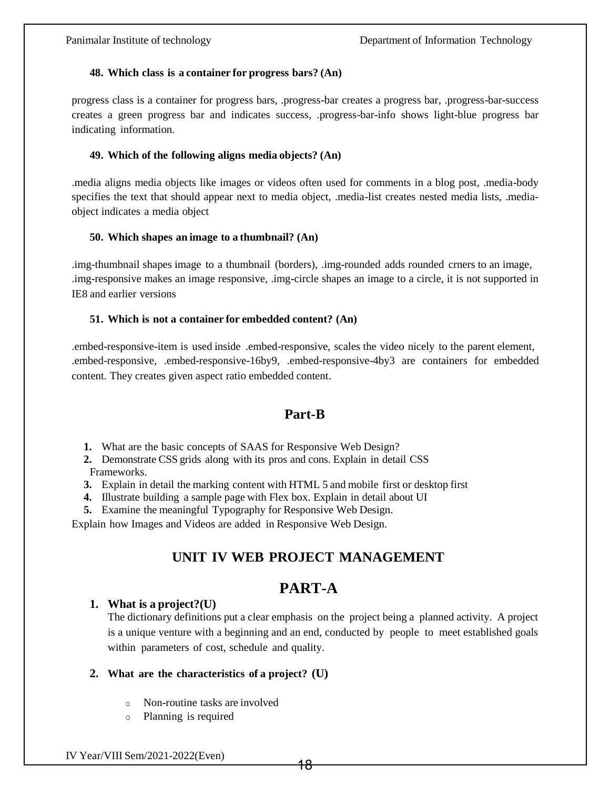#### **48. Which class is a container for progress bars? (An)**

progress class is a container for progress bars, .progress-bar creates a progress bar, .progress-bar-success creates a green progress bar and indicates success, .progress-bar-info shows light-blue progress bar indicating information.

#### **49. Which of the following aligns media objects? (An)**

.media aligns media objects like images or videos often used for comments in a blog post, .media-body specifies the text that should appear next to media object, .media-list creates nested media lists, .mediaobject indicates a media object

#### **50. Which shapes an image to a thumbnail? (An)**

.img-thumbnail shapes image to a thumbnail (borders), .img-rounded adds rounded crners to an image, .img-responsive makes an image responsive, .img-circle shapes an image to a circle, it is not supported in IE8 and earlier versions

#### **51. Which is not a container for embedded content? (An)**

.embed-responsive-item is used inside .embed-responsive, scales the video nicely to the parent element, .embed-responsive, .embed-responsive-16by9, .embed-responsive-4by3 are containers for embedded content. They creates given aspect ratio embedded content.

# **Part-B**

**1.** What are the basic concepts of SAAS for Responsive Web Design?

**2.** Demonstrate CSS grids along with its pros and cons. Explain in detail CSS Frameworks.

**3.** Explain in detail the marking content with HTML 5 and mobile first or desktop first

**4.** Illustrate building a sample page with Flex box. Explain in detail about UI

**5.** Examine the meaningful Typography for Responsive Web Design.

<span id="page-17-0"></span>Explain how Images and Videos are added in Responsive Web Design.

# **UNIT IV WEB PROJECT MANAGEMENT**

# **PART-A**

#### **1. What is a project?(U)**

The dictionary definitions put a clear emphasis on the project being a planned activity. A project is a unique venture with a beginning and an end, conducted by people to meet established goals within parameters of cost, schedule and quality.

#### **2. What are the characteristics of a project? (U)**

- o Non-routine tasks are involved
- o Planning is required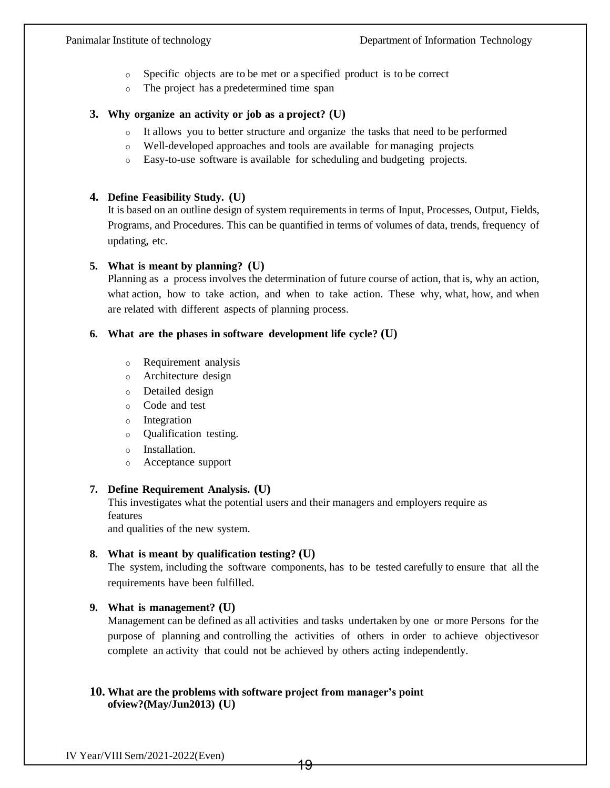- o Specific objects are to be met or a specified product is to be correct
- o The project has a predetermined time span

#### **3. Why organize an activity or job as a project? (U)**

- o It allows you to better structure and organize the tasks that need to be performed
- o Well-developed approaches and tools are available for managing projects
- o Easy-to-use software is available for scheduling and budgeting projects.

#### **4. Define Feasibility Study. (U)**

It is based on an outline design of system requirements in terms of Input, Processes, Output, Fields, Programs, and Procedures. This can be quantified in terms of volumes of data, trends, frequency of updating, etc.

#### **5. What is meant by planning? (U)**

Planning as a process involves the determination of future course of action, that is, why an action, what action, how to take action, and when to take action. These why, what, how, and when are related with different aspects of planning process.

#### **6. What are the phases in software development life cycle? (U)**

- o Requirement analysis
- o Architecture design
- o Detailed design
- o Code and test
- o Integration
- o Qualification testing.
- o Installation.
- o Acceptance support

#### **7. Define Requirement Analysis. (U)**

This investigates what the potential users and their managers and employers require as features

and qualities of the new system.

#### **8. What is meant by qualification testing? (U)**

The system, including the software components, has to be tested carefully to ensure that all the requirements have been fulfilled.

#### **9. What is management? (U)**

Management can be defined as all activities and tasks undertaken by one or more Persons for the purpose of planning and controlling the activities of others in order to achieve objectivesor complete an activity that could not be achieved by others acting independently.

#### **10. What are the problems with software project from manager's point ofview?(May/Jun2013) (U)**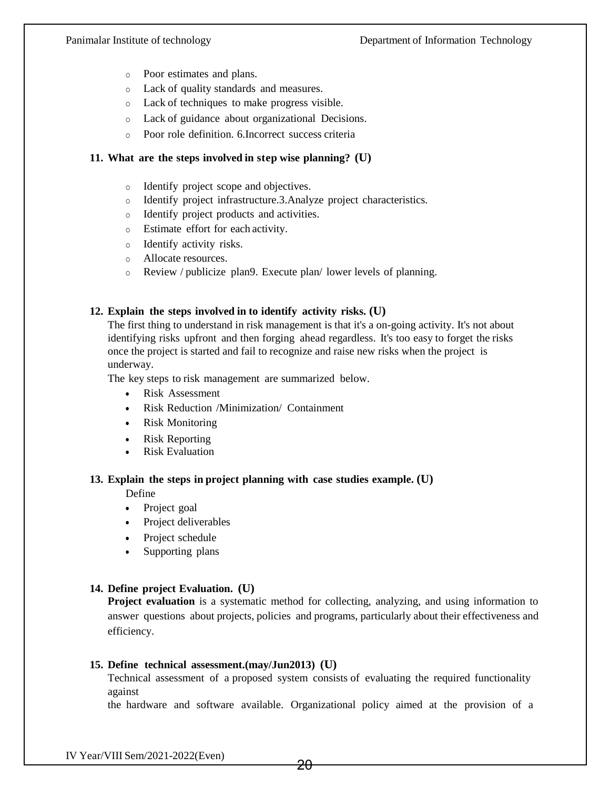- o Poor estimates and plans.
- o Lack of quality standards and measures.
- o Lack of techniques to make progress visible.
- o Lack of guidance about organizational Decisions.
- o Poor role definition. 6.Incorrect success criteria

#### **11. What are the steps involved in step wise planning? (U)**

- o Identify project scope and objectives.
- o Identify project infrastructure.3.Analyze project characteristics.
- o Identify project products and activities.
- o Estimate effort for each activity.
- o Identify activity risks.
- o Allocate resources.
- o Review / publicize plan9. Execute plan/ lower levels of planning.

#### **12. Explain the steps involved in to identify activity risks. (U)**

The first thing to understand in risk management is that it's a on-going activity. It's not about identifying risks upfront and then forging ahead regardless. It's too easy to forget the risks once the project is started and fail to recognize and raise new risks when the project is underway.

The key steps to risk management are summarized below.

- Risk Assessment
- Risk Reduction /Minimization/ Containment
- Risk Monitoring
- Risk Reporting
- Risk Evaluation

#### **13. Explain the steps in project planning with case studies example. (U)**

Define

- Project goal
- Project deliverables
- Project schedule
- Supporting plans

#### **14. Define project Evaluation. (U)**

**Project evaluation** is a systematic method for collecting, analyzing, and using information to answer questions about projects, policies and programs, particularly about their effectiveness and efficiency.

#### **15. Define technical assessment.(may/Jun2013) (U)**

Technical assessment of a proposed system consists of evaluating the required functionality against

the hardware and software available. Organizational policy aimed at the provision of a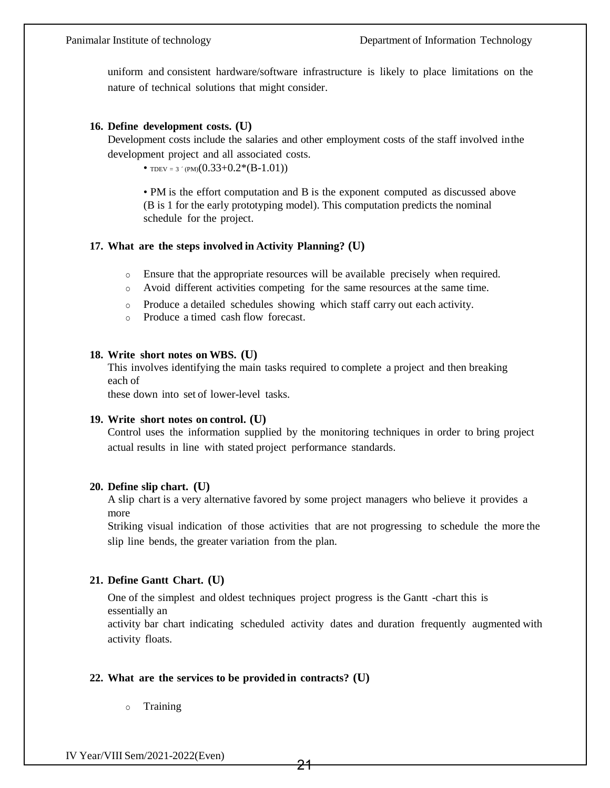uniform and consistent hardware/software infrastructure is likely to place limitations on the nature of technical solutions that might consider.

#### **16. Define development costs. (U)**

Development costs include the salaries and other employment costs of the staff involved inthe development project and all associated costs.

• TDEV = 3  $(pM)(0.33+0.2*(B-1.01))$ 

• PM is the effort computation and B is the exponent computed as discussed above (B is 1 for the early prototyping model). This computation predicts the nominal schedule for the project.

#### **17. What are the steps involved in Activity Planning? (U)**

- o Ensure that the appropriate resources will be available precisely when required.
- o Avoid different activities competing for the same resources at the same time.
- o Produce a detailed schedules showing which staff carry out each activity.
- o Produce a timed cash flow forecast.

#### **18. Write short notes on WBS. (U)**

This involves identifying the main tasks required to complete a project and then breaking each of

these down into set of lower-level tasks.

#### **19. Write short notes on control. (U)**

Control uses the information supplied by the monitoring techniques in order to bring project actual results in line with stated project performance standards.

#### **20. Define slip chart. (U)**

A slip chart is a very alternative favored by some project managers who believe it provides a more

Striking visual indication of those activities that are not progressing to schedule the more the slip line bends, the greater variation from the plan.

#### **21. Define Gantt Chart. (U)**

One of the simplest and oldest techniques project progress is the Gantt -chart this is essentially an

activity bar chart indicating scheduled activity dates and duration frequently augmented with activity floats.

#### **22. What are the services to be provided in contracts? (U)**

o Training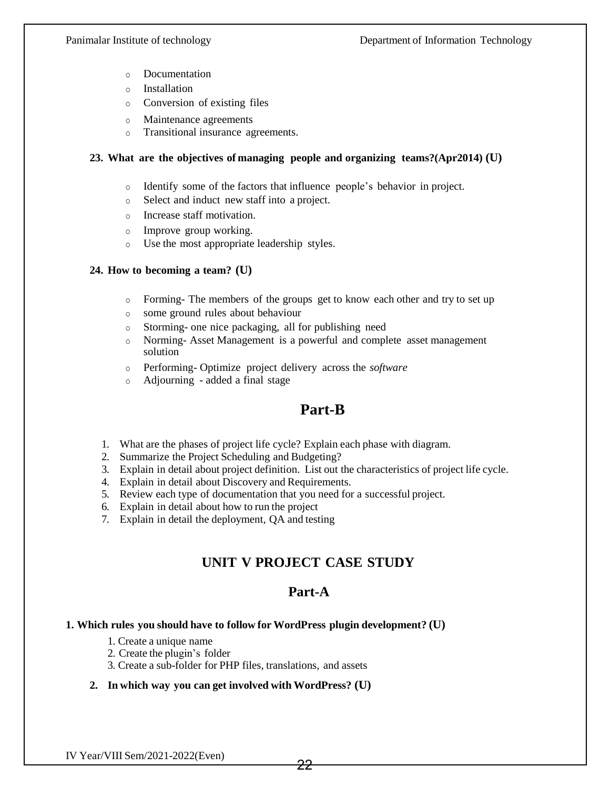- o Documentation
- o Installation
- o Conversion of existing files
- o Maintenance agreements
- o Transitional insurance agreements.

#### **23. What are the objectives of managing people and organizing teams?(Apr2014) (U)**

- o Identify some of the factors that influence people's behavior in project.
- o Select and induct new staff into a project.
- o Increase staff motivation.
- o Improve group working.
- o Use the most appropriate leadership styles.

#### **24. How to becoming a team? (U)**

- o Forming- The members of the groups get to know each other and try to set up
- o some ground rules about behaviour
- o Storming- one nice packaging, all for publishing need
- o Norming- Asset Management is a powerful and complete asset management solution
- o Performing- Optimize project delivery across the *software*
- o Adjourning added a final stage

# **Part-B**

- 1. What are the phases of project life cycle? Explain each phase with diagram.
- 2. Summarize the Project Scheduling and Budgeting?
- 3. Explain in detail about project definition. List out the characteristics of project life cycle.
- 4. Explain in detail about Discovery and Requirements.
- 5. Review each type of documentation that you need for a successful project.
- 6. Explain in detail about how to run the project
- <span id="page-21-0"></span>7. Explain in detail the deployment, QA and testing

# **UNIT V PROJECT CASE STUDY**

# **Part-A**

#### **1. Which rules you should have to follow for WordPress plugin development? (U)**

- 1. Create a unique name
- 2. Create the plugin's folder
- 3. Create a sub-folder for PHP files, translations, and assets

#### **2. In which way you can get involved with WordPress? (U)**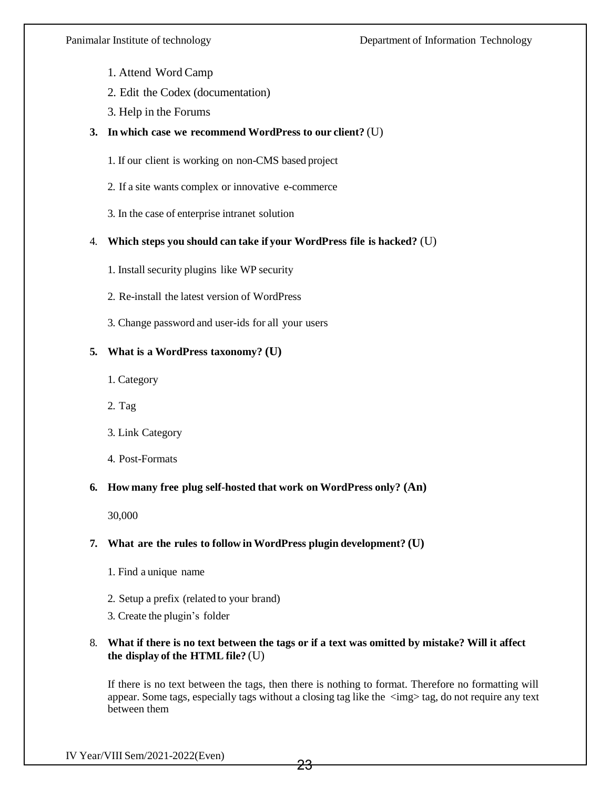- 1. Attend Word Camp
- 2. Edit the Codex (documentation)
- 3. Help in the Forums
- **3. In which case we recommend WordPress to our client?** (U)
	- 1. If our client is working on non-CMS based project
	- 2. If a site wants complex or innovative e-commerce
	- 3. In the case of enterprise intranet solution

### 4. **Which steps you should can take if your WordPress file is hacked?** (U)

- 1. Install security plugins like WP security
- 2. Re-install the latest version of WordPress
- 3. Change password and user-ids for all your users

### **5. What is a WordPress taxonomy? (U)**

- 1. Category
- 2. Tag
- 3. Link Category
- 4. Post-Formats

### **6. How many free plug self-hosted that work on WordPress only? (An)**

30,000

### **7. What are the rules to follow in WordPress plugin development? (U)**

- 1. Find a unique name
- 2. Setup a prefix (related to your brand)
- 3. Create the plugin's folder

#### 8. **What if there is no text between the tags or if a text was omitted by mistake? Will it affect the display of the HTML file?** (U)

If there is no text between the tags, then there is nothing to format. Therefore no formatting will appear. Some tags, especially tags without a closing tag like the  $\langle \text{img} \rangle$  tag, do not require any text between them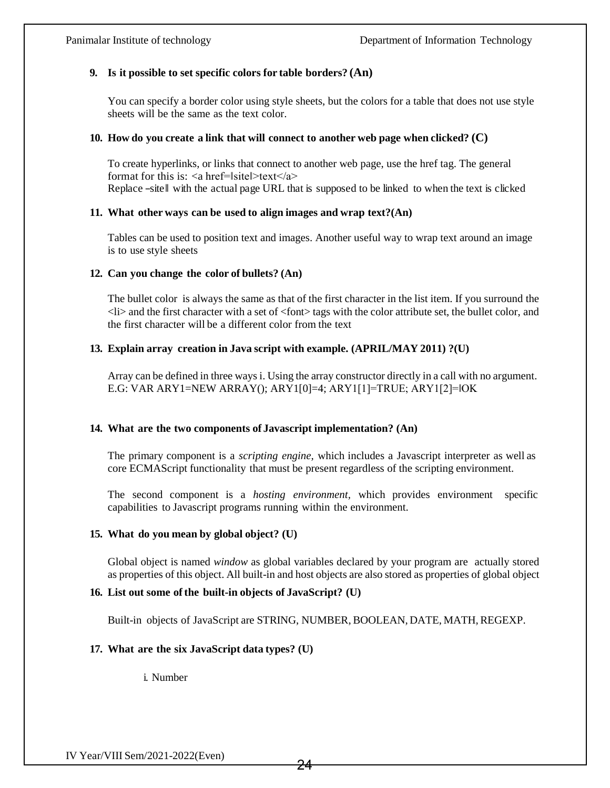#### **9. Is it possible to set specific colors for table borders? (An)**

You can specify a border color using style sheets, but the colors for a table that does not use style sheets will be the same as the text color.

#### **10. How do you create a link that will connect to another web page when clicked? (C)**

To create hyperlinks, or links that connect to another web page, use the href tag. The general format for this is:  $\langle a \rangle$  href= site  $\langle \rangle$  text $\langle \rangle$ Replace ―site‖ with the actual page URL that is supposed to be linked to when the text is clicked

#### **11. What other ways can be used to align images and wrap text?(An)**

Tables can be used to position text and images. Another useful way to wrap text around an image is to use style sheets

#### **12. Can you change the color of bullets? (An)**

The bullet color is always the same as that of the first character in the list item. If you surround the <li> and the first character with a set of <font> tags with the color attribute set, the bullet color, and the first character will be a different color from the text

#### **13. Explain array creation in Java script with example. (APRIL/MAY 2011) ?(U)**

Array can be defined in three ways i. Using the array constructor directly in a call with no argument. E.G: VAR ARY1=NEW ARRAY(); ARY1[0]=4; ARY1[1]=TRUE; ARY1[2]=‖OK

#### **14. What are the two components of Javascript implementation? (An)**

The primary component is a *scripting engine,* which includes a Javascript interpreter as well as core ECMAScript functionality that must be present regardless of the scripting environment.

The second component is a *hosting environment,* which provides environment specific capabilities to Javascript programs running within the environment.

#### **15. What do you mean by global object? (U)**

Global object is named *window* as global variables declared by your program are actually stored as properties of this object. All built-in and host objects are also stored as properties of global object

#### **16. List out some of the built-in objects of JavaScript? (U)**

Built-in objects of JavaScript are STRING, NUMBER, BOOLEAN, DATE, MATH, REGEXP.

#### **17. What are the six JavaScript data types? (U)**

i. Number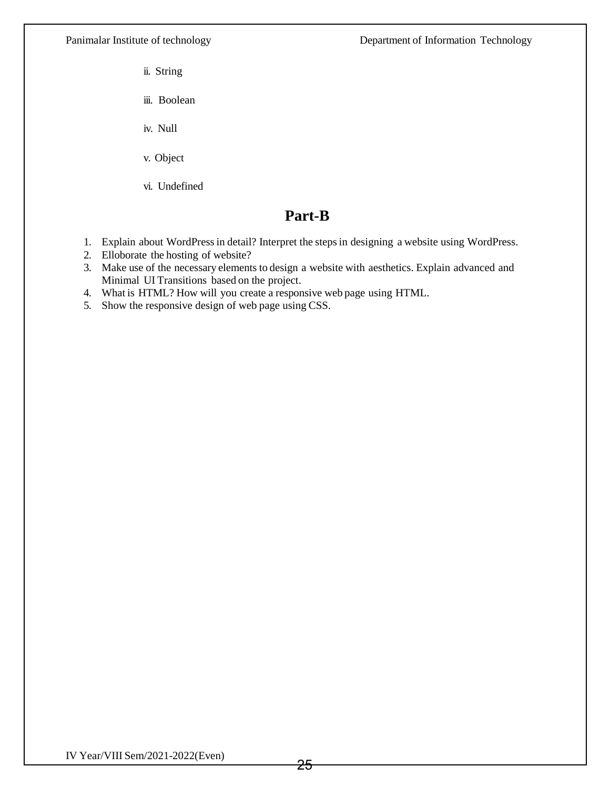- ii. String
- iii. Boolean
- iv. Null
- v. Object
- vi. Undefined

# **Part-B**

- 1. Explain about WordPress in detail? Interpret the steps in designing a website using WordPress.
- 2. Elloborate the hosting of website?
- 3. Make use of the necessary elements to design a website with aesthetics. Explain advanced and Minimal UI Transitions based on the project.
- 4. What is HTML? How will you create a responsive web page using HTML.
- 5. Show the responsive design of web page using CSS.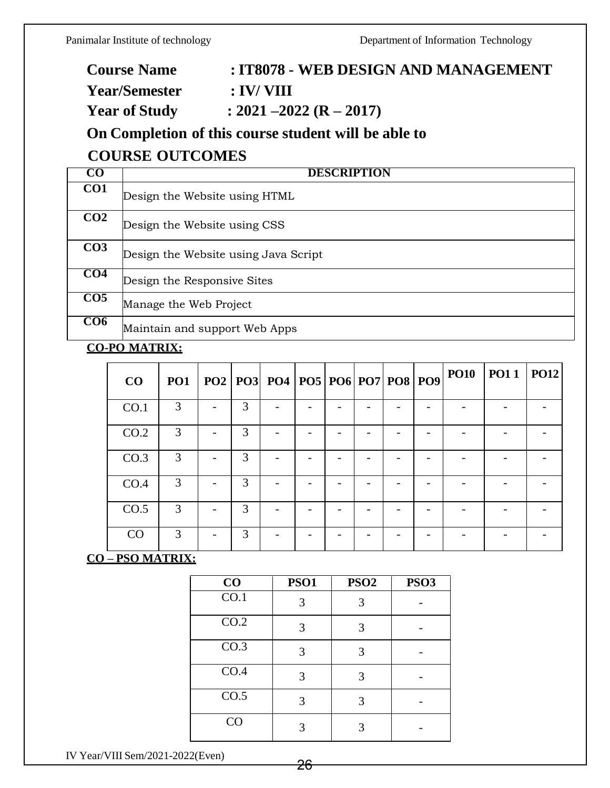# **Course Name : IT8078 - WEB DESIGN AND MANAGEMENT Year/Semester : IV/ VIII Year of Study : 2021 –2022 (R – 2017)**

**On Completion of this course student will be able to**

# **COURSE OUTCOMES**

| CO              | <b>DESCRIPTION</b>                   |
|-----------------|--------------------------------------|
| CO <sub>1</sub> | Design the Website using HTML        |
| CO <sub>2</sub> | Design the Website using CSS         |
| CO <sub>3</sub> | Design the Website using Java Script |
| CO <sub>4</sub> | Design the Responsive Sites          |
| CO <sub>5</sub> | Manage the Web Project               |
| CO6             | Maintain and support Web Apps        |

# **CO-PO MATRIX:**

| CO   |               |   |  |  |  | PO1   PO2   PO3   PO4   PO5   PO6   PO7   PO8   PO9   PO10 | <b>PO11</b> | P <sub>012</sub> |
|------|---------------|---|--|--|--|------------------------------------------------------------|-------------|------------------|
| CO.1 | 3             | 3 |  |  |  |                                                            |             |                  |
| CO.2 | 3             | 3 |  |  |  |                                                            |             |                  |
| CO.3 | $\mathcal{R}$ | 3 |  |  |  |                                                            |             |                  |
| CO.4 | $\mathcal{R}$ | 3 |  |  |  |                                                            |             |                  |
| CO.5 | 3             | 3 |  |  |  |                                                            |             |                  |
| CO   | $\mathcal{R}$ | 3 |  |  |  |                                                            |             |                  |

# **CO – PSO MATRIX:**

| CO   | <b>PSO1</b> | PSO <sub>2</sub> | <b>PSO3</b> |
|------|-------------|------------------|-------------|
| CO.1 | 3           | 3                |             |
| CO.2 | 3           | 3                |             |
| CO.3 | 3           | 3                |             |
| CO.4 | 3           | 3                |             |
| CO.5 | 3           | 3                |             |
| CO   | 3           | 3                |             |

IV Year/VIII Sem/2021-2022(Even)